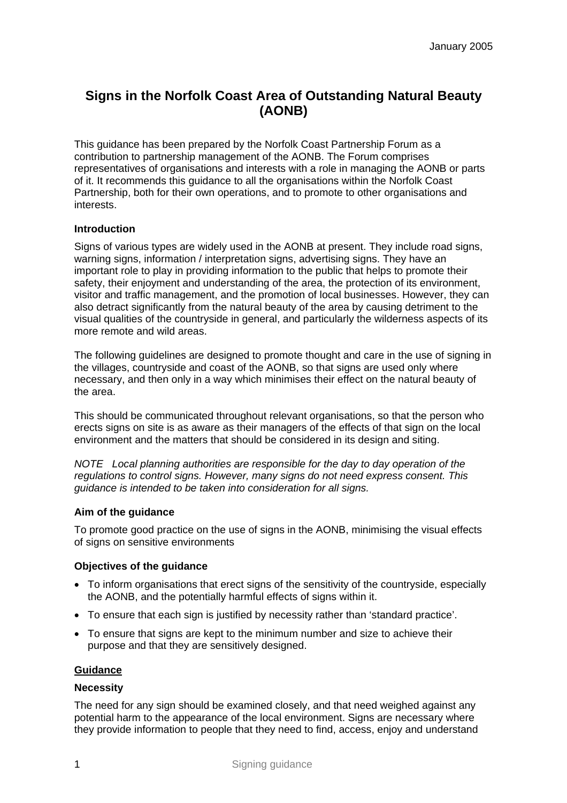# **Signs in the Norfolk Coast Area of Outstanding Natural Beauty (AONB)**

This guidance has been prepared by the Norfolk Coast Partnership Forum as a contribution to partnership management of the AONB. The Forum comprises representatives of organisations and interests with a role in managing the AONB or parts of it. It recommends this guidance to all the organisations within the Norfolk Coast Partnership, both for their own operations, and to promote to other organisations and interests.

## **Introduction**

Signs of various types are widely used in the AONB at present. They include road signs, warning signs, information / interpretation signs, advertising signs. They have an important role to play in providing information to the public that helps to promote their safety, their enjoyment and understanding of the area, the protection of its environment, visitor and traffic management, and the promotion of local businesses. However, they can also detract significantly from the natural beauty of the area by causing detriment to the visual qualities of the countryside in general, and particularly the wilderness aspects of its more remote and wild areas.

The following guidelines are designed to promote thought and care in the use of signing in the villages, countryside and coast of the AONB, so that signs are used only where necessary, and then only in a way which minimises their effect on the natural beauty of the area.

This should be communicated throughout relevant organisations, so that the person who erects signs on site is as aware as their managers of the effects of that sign on the local environment and the matters that should be considered in its design and siting.

*NOTE Local planning authorities are responsible for the day to day operation of the regulations to control signs. However, many signs do not need express consent. This guidance is intended to be taken into consideration for all signs.* 

## **Aim of the guidance**

To promote good practice on the use of signs in the AONB, minimising the visual effects of signs on sensitive environments

## **Objectives of the guidance**

- To inform organisations that erect signs of the sensitivity of the countryside, especially the AONB, and the potentially harmful effects of signs within it.
- To ensure that each sign is justified by necessity rather than 'standard practice'.
- To ensure that signs are kept to the minimum number and size to achieve their purpose and that they are sensitively designed.

## **Guidance**

## **Necessity**

The need for any sign should be examined closely, and that need weighed against any potential harm to the appearance of the local environment. Signs are necessary where they provide information to people that they need to find, access, enjoy and understand